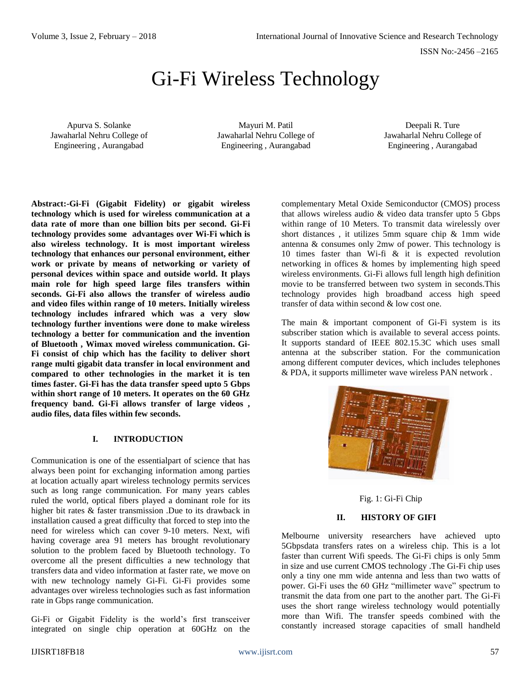ISSN No:-2456 –2165

# Gi-Fi Wireless Technology

Apurva S. Solanke Jawaharlal Nehru College of Engineering , Aurangabad

Mayuri M. Patil Jawaharlal Nehru College of Engineering , Aurangabad

Deepali R. Ture Jawaharlal Nehru College of Engineering , Aurangabad

**Abstract:-Gi-Fi (Gigabit Fidelity) or gigabit wireless technology which is used for wireless communication at a data rate of more than one billion bits per second. Gi-Fi technology provides some advantages over Wi-Fi which is also wireless technology. It is most important wireless technology that enhances our personal environment, either work or private by means of networking or variety of personal devices within space and outside world. It plays main role for high speed large files transfers within seconds. Gi-Fi also allows the transfer of wireless audio and video files within range of 10 meters. Initially wireless technology includes infrared which was a very slow technology further inventions were done to make wireless technology a better for communication and the invention of Bluetooth , Wimax moved wireless communication. Gi-Fi consist of chip which has the facility to deliver short range multi gigabit data transfer in local environment and compared to other technologies in the market it is ten times faster. Gi-Fi has the data transfer speed upto 5 Gbps within short range of 10 meters. It operates on the 60 GHz frequency band. Gi-Fi allows transfer of large videos , audio files, data files within few seconds.**

#### **I. INTRODUCTION**

Communication is one of the essentialpart of science that has always been point for exchanging information among parties at location actually apart wireless technology permits services such as long range communication. For many years cables ruled the world, optical fibers played a dominant role for its higher bit rates & faster transmission .Due to its drawback in installation caused a great difficulty that forced to step into the need for wireless which can cover 9-10 meters. Next, wifi having coverage area 91 meters has brought revolutionary solution to the problem faced by Bluetooth technology. To overcome all the present difficulties a new technology that transfers data and video information at faster rate, we move on with new technology namely Gi-Fi. Gi-Fi provides some advantages over wireless technologies such as fast information rate in Gbps range communication.

Gi-Fi or Gigabit Fidelity is the world's first transceiver integrated on single chip operation at 60GHz on the complementary Metal Oxide Semiconductor (CMOS) process that allows wireless audio & video data transfer upto 5 Gbps within range of 10 Meters. To transmit data wirelessly over short distances , it utilizes 5mm square chip & 1mm wide antenna & consumes only 2mw of power. This technology is 10 times faster than Wi-fi & it is expected revolution networking in offices & homes by implementing high speed wireless environments. Gi-Fi allows full length high definition movie to be transferred between two system in seconds.This technology provides high broadband access high speed transfer of data within second & low cost one.

The main & important component of Gi-Fi system is its subscriber station which is available to several access points. It supports standard of IEEE 802.15.3C which uses small antenna at the subscriber station. For the communication among different computer devices, which includes telephones & PDA, it supports millimeter wave wireless PAN network .



Fig. 1: Gi-Fi Chip

#### **II. HISTORY OF GIFI**

Melbourne university researchers have achieved upto 5Gbpsdata transfers rates on a wireless chip. This is a lot faster than current Wifi speeds. The Gi-Fi chips is only 5mm in size and use current CMOS technology .The Gi-Fi chip uses only a tiny one mm wide antenna and less than two watts of power. Gi-Fi uses the 60 GHz "millimeter wave" spectrum to transmit the data from one part to the another part. The Gi-Fi uses the short range wireless technology would potentially more than Wifi. The transfer speeds combined with the constantly increased storage capacities of small handheld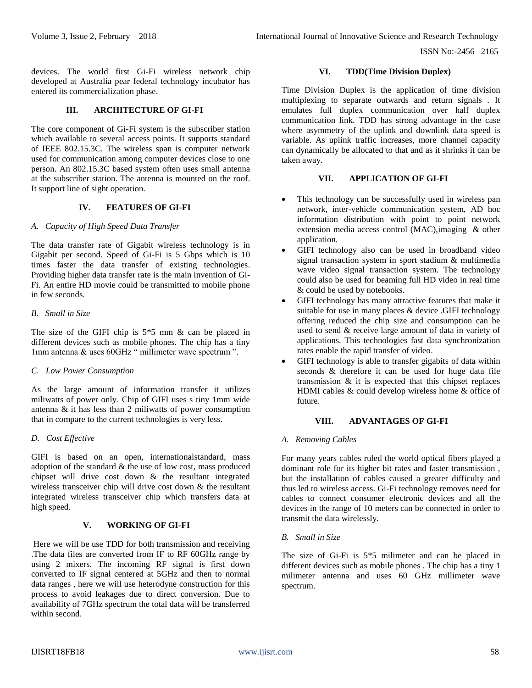ISSN No:-2456 –2165

devices. The world first Gi-Fi wireless network chip developed at Australia pear federal technology incubator has entered its commercialization phase.

## **III. ARCHITECTURE OF GI-FI**

The core component of Gi-Fi system is the subscriber station which available to several access points. It supports standard of IEEE 802.15.3C. The wireless span is computer network used for communication among computer devices close to one person. An 802.15.3C based system often uses small antenna at the subscriber station. The antenna is mounted on the roof. It support line of sight operation.

#### **IV. FEATURES OF GI-FI**

#### *A. Capacity of High Speed Data Transfer*

The data transfer rate of Gigabit wireless technology is in Gigabit per second. Speed of Gi-Fi is 5 Gbps which is 10 times faster the data transfer of existing technologies. Providing higher data transfer rate is the main invention of Gi-Fi. An entire HD movie could be transmitted to mobile phone in few seconds.

#### *B. Small in Size*

The size of the GIFI chip is  $5*5$  mm & can be placed in different devices such as mobile phones. The chip has a tiny 1mm antenna & uses 60GHz " millimeter wave spectrum ".

#### *C. Low Power Consumption*

As the large amount of information transfer it utilizes miliwatts of power only. Chip of GIFI uses s tiny 1mm wide antenna & it has less than 2 miliwatts of power consumption that in compare to the current technologies is very less.

#### *D. Cost Effective*

GIFI is based on an open, internationalstandard, mass adoption of the standard & the use of low cost, mass produced chipset will drive cost down & the resultant integrated wireless transceiver chip will drive cost down & the resultant integrated wireless transceiver chip which transfers data at high speed.

## **V. WORKING OF GI-FI**

Here we will be use TDD for both transmission and receiving .The data files are converted from IF to RF 60GHz range by using 2 mixers. The incoming RF signal is first down converted to IF signal centered at 5GHz and then to normal data ranges , here we will use heterodyne construction for this process to avoid leakages due to direct conversion. Due to availability of 7GHz spectrum the total data will be transferred within second.

#### **VI. TDD(Time Division Duplex)**

Time Division Duplex is the application of time division multiplexing to separate outwards and return signals . It emulates full duplex communication over half duplex communication link. TDD has strong advantage in the case where asymmetry of the uplink and downlink data speed is variable. As uplink traffic increases, more channel capacity can dynamically be allocated to that and as it shrinks it can be taken away.

## **VII. APPLICATION OF GI-FI**

- This technology can be successfully used in wireless pan network, inter-vehicle communication system, AD hoc information distribution with point to point network extension media access control (MAC),imaging & other application.
- GIFI technology also can be used in broadband video signal transaction system in sport stadium & multimedia wave video signal transaction system. The technology could also be used for beaming full HD video in real time & could be used by notebooks.
- GIFI technology has many attractive features that make it suitable for use in many places & device .GIFI technology offering reduced the chip size and consumption can be used to send & receive large amount of data in variety of applications. This technologies fast data synchronization rates enable the rapid transfer of video.
- GIFI technology is able to transfer gigabits of data within seconds & therefore it can be used for huge data file transmission & it is expected that this chipset replaces HDMI cables & could develop wireless home & office of future.

## **VIII. ADVANTAGES OF GI-FI**

#### *A. Removing Cables*

For many years cables ruled the world optical fibers played a dominant role for its higher bit rates and faster transmission , but the installation of cables caused a greater difficulty and thus led to wireless access. Gi-Fi technology removes need for cables to connect consumer electronic devices and all the devices in the range of 10 meters can be connected in order to transmit the data wirelessly.

#### *B. Small in Size*

The size of Gi-Fi is 5\*5 milimeter and can be placed in different devices such as mobile phones . The chip has a tiny 1 milimeter antenna and uses 60 GHz millimeter wave spectrum.